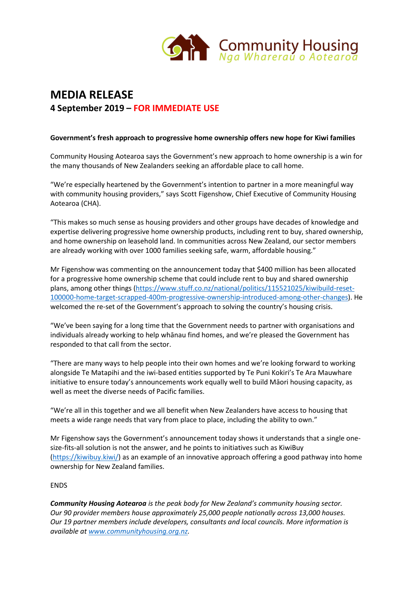

# **MEDIA RELEASE 4 September 2019 – FOR IMMEDIATE USE**

## **Government's fresh approach to progressive home ownership offers new hope for Kiwi families**

Community Housing Aotearoa says the Government's new approach to home ownership is a win for the many thousands of New Zealanders seeking an affordable place to call home.

"We're especially heartened by the Government's intention to partner in a more meaningful way with community housing providers," says Scott Figenshow, Chief Executive of Community Housing Aotearoa (CHA).

"This makes so much sense as housing providers and other groups have decades of knowledge and expertise delivering progressive home ownership products, including rent to buy, shared ownership, and home ownership on leasehold land. In communities across New Zealand, our sector members are already working with over 1000 families seeking safe, warm, affordable housing."

Mr Figenshow was commenting on the announcement today that \$400 million has been allocated for a progressive home ownership scheme that could include rent to buy and shared ownership plans, among other things [\(https://www.stuff.co.nz/national/politics/115521025/kiwibuild-reset-](https://www.stuff.co.nz/national/politics/115521025/kiwibuild-reset-100000-home-target-scrapped-400m-progressive-ownership-introduced-among-other-changes)[100000-home-target-scrapped-400m-progressive-ownership-introduced-among-other-changes\)](https://www.stuff.co.nz/national/politics/115521025/kiwibuild-reset-100000-home-target-scrapped-400m-progressive-ownership-introduced-among-other-changes). He welcomed the re-set of the Government's approach to solving the country's housing crisis.

"We've been saying for a long time that the Government needs to partner with organisations and individuals already working to help whānau find homes, and we're pleased the Government has responded to that call from the sector.

"There are many ways to help people into their own homes and we're looking forward to working alongside Te Matapihi and the iwi-based entities supported by Te Puni Kokiri's Te Ara Mauwhare initiative to ensure today's announcements work equally well to build Māori housing capacity, as well as meet the diverse needs of Pacific families.

"We're all in this together and we all benefit when New Zealanders have access to housing that meets a wide range needs that vary from place to place, including the ability to own."

Mr Figenshow says the Government's announcement today shows it understands that a single onesize-fits-all solution is not the answer, and he points to initiatives such as KiwiBuy [\(https://kiwibuy.kiwi/\)](https://kiwibuy.kiwi/) as an example of an innovative approach offering a good pathway into home ownership for New Zealand families.

### ENDS

*Community Housing Aotearoa is the peak body for New Zealand's community housing sector. Our 90 provider members house approximately 25,000 people nationally across 13,000 houses. Our 19 partner members include developers, consultants and local councils. More information is available a[t www.communityhousing.org.nz.](http://www.communityhousing.org.nz/)*